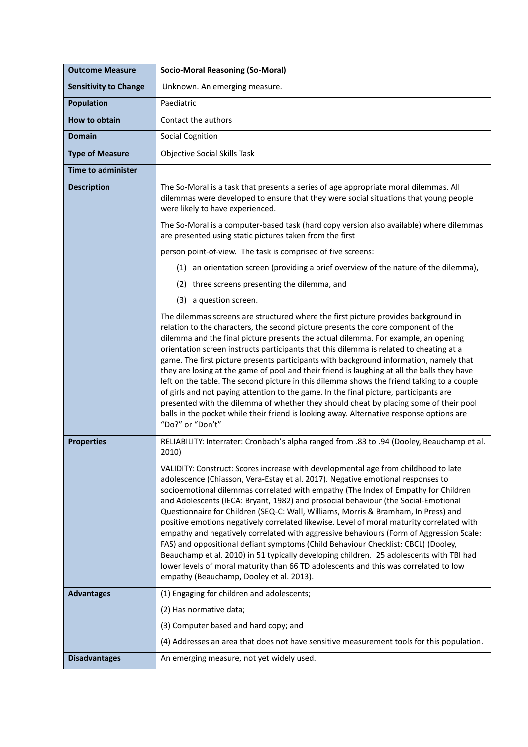| <b>Outcome Measure</b>       | <b>Socio-Moral Reasoning (So-Moral)</b>                                                                                                                                                                                                                                                                                                                                                                                                                                                                                                                                                                                                                                                                                                                                                                                                                                                                                                             |
|------------------------------|-----------------------------------------------------------------------------------------------------------------------------------------------------------------------------------------------------------------------------------------------------------------------------------------------------------------------------------------------------------------------------------------------------------------------------------------------------------------------------------------------------------------------------------------------------------------------------------------------------------------------------------------------------------------------------------------------------------------------------------------------------------------------------------------------------------------------------------------------------------------------------------------------------------------------------------------------------|
| <b>Sensitivity to Change</b> | Unknown. An emerging measure.                                                                                                                                                                                                                                                                                                                                                                                                                                                                                                                                                                                                                                                                                                                                                                                                                                                                                                                       |
| <b>Population</b>            | Paediatric                                                                                                                                                                                                                                                                                                                                                                                                                                                                                                                                                                                                                                                                                                                                                                                                                                                                                                                                          |
| <b>How to obtain</b>         | Contact the authors                                                                                                                                                                                                                                                                                                                                                                                                                                                                                                                                                                                                                                                                                                                                                                                                                                                                                                                                 |
| <b>Domain</b>                | <b>Social Cognition</b>                                                                                                                                                                                                                                                                                                                                                                                                                                                                                                                                                                                                                                                                                                                                                                                                                                                                                                                             |
| <b>Type of Measure</b>       | Objective Social Skills Task                                                                                                                                                                                                                                                                                                                                                                                                                                                                                                                                                                                                                                                                                                                                                                                                                                                                                                                        |
| <b>Time to administer</b>    |                                                                                                                                                                                                                                                                                                                                                                                                                                                                                                                                                                                                                                                                                                                                                                                                                                                                                                                                                     |
| <b>Description</b>           | The So-Moral is a task that presents a series of age appropriate moral dilemmas. All<br>dilemmas were developed to ensure that they were social situations that young people<br>were likely to have experienced.                                                                                                                                                                                                                                                                                                                                                                                                                                                                                                                                                                                                                                                                                                                                    |
|                              | The So-Moral is a computer-based task (hard copy version also available) where dilemmas<br>are presented using static pictures taken from the first                                                                                                                                                                                                                                                                                                                                                                                                                                                                                                                                                                                                                                                                                                                                                                                                 |
|                              | person point-of-view. The task is comprised of five screens:                                                                                                                                                                                                                                                                                                                                                                                                                                                                                                                                                                                                                                                                                                                                                                                                                                                                                        |
|                              | an orientation screen (providing a brief overview of the nature of the dilemma),<br>(1)                                                                                                                                                                                                                                                                                                                                                                                                                                                                                                                                                                                                                                                                                                                                                                                                                                                             |
|                              | three screens presenting the dilemma, and<br>(2)                                                                                                                                                                                                                                                                                                                                                                                                                                                                                                                                                                                                                                                                                                                                                                                                                                                                                                    |
|                              | (3)<br>a question screen.                                                                                                                                                                                                                                                                                                                                                                                                                                                                                                                                                                                                                                                                                                                                                                                                                                                                                                                           |
|                              | The dilemmas screens are structured where the first picture provides background in<br>relation to the characters, the second picture presents the core component of the<br>dilemma and the final picture presents the actual dilemma. For example, an opening<br>orientation screen instructs participants that this dilemma is related to cheating at a<br>game. The first picture presents participants with background information, namely that<br>they are losing at the game of pool and their friend is laughing at all the balls they have<br>left on the table. The second picture in this dilemma shows the friend talking to a couple<br>of girls and not paying attention to the game. In the final picture, participants are<br>presented with the dilemma of whether they should cheat by placing some of their pool<br>balls in the pocket while their friend is looking away. Alternative response options are<br>"Do?" or "Don't"   |
| <b>Properties</b>            | RELIABILITY: Interrater: Cronbach's alpha ranged from .83 to .94 (Dooley, Beauchamp et al.<br>2010)                                                                                                                                                                                                                                                                                                                                                                                                                                                                                                                                                                                                                                                                                                                                                                                                                                                 |
|                              | VALIDITY: Construct: Scores increase with developmental age from childhood to late<br>adolescence (Chiasson, Vera-Estay et al. 2017). Negative emotional responses to<br>socioemotional dilemmas correlated with empathy (The Index of Empathy for Children<br>and Adolescents (IECA: Bryant, 1982) and prosocial behaviour (the Social-Emotional<br>Questionnaire for Children (SEQ-C: Wall, Williams, Morris & Bramham, In Press) and<br>positive emotions negatively correlated likewise. Level of moral maturity correlated with<br>empathy and negatively correlated with aggressive behaviours (Form of Aggression Scale:<br>FAS) and oppositional defiant symptoms (Child Behaviour Checklist: CBCL) (Dooley,<br>Beauchamp et al. 2010) in 51 typically developing children. 25 adolescents with TBI had<br>lower levels of moral maturity than 66 TD adolescents and this was correlated to low<br>empathy (Beauchamp, Dooley et al. 2013). |
| <b>Advantages</b>            | (1) Engaging for children and adolescents;                                                                                                                                                                                                                                                                                                                                                                                                                                                                                                                                                                                                                                                                                                                                                                                                                                                                                                          |
|                              | (2) Has normative data;                                                                                                                                                                                                                                                                                                                                                                                                                                                                                                                                                                                                                                                                                                                                                                                                                                                                                                                             |
|                              | (3) Computer based and hard copy; and                                                                                                                                                                                                                                                                                                                                                                                                                                                                                                                                                                                                                                                                                                                                                                                                                                                                                                               |
|                              | (4) Addresses an area that does not have sensitive measurement tools for this population.                                                                                                                                                                                                                                                                                                                                                                                                                                                                                                                                                                                                                                                                                                                                                                                                                                                           |
| <b>Disadvantages</b>         | An emerging measure, not yet widely used.                                                                                                                                                                                                                                                                                                                                                                                                                                                                                                                                                                                                                                                                                                                                                                                                                                                                                                           |